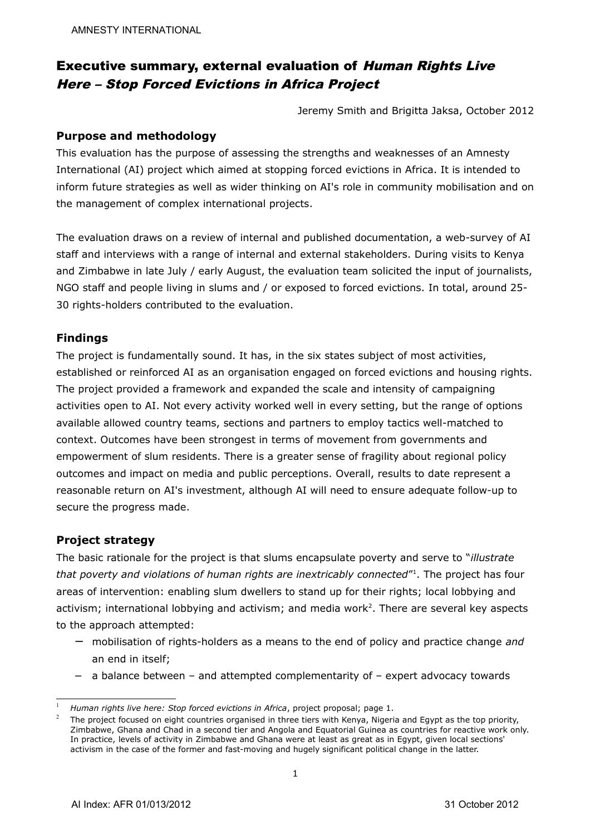# Executive summary, external evaluation of Human Rights Live Here – Stop Forced Evictions in Africa Project

Jeremy Smith and Brigitta Jaksa, October 2012

## **Purpose and methodology**

This evaluation has the purpose of assessing the strengths and weaknesses of an Amnesty International (AI) project which aimed at stopping forced evictions in Africa. It is intended to inform future strategies as well as wider thinking on AI's role in community mobilisation and on the management of complex international projects.

The evaluation draws on a review of internal and published documentation, a web-survey of AI staff and interviews with a range of internal and external stakeholders. During visits to Kenya and Zimbabwe in late July / early August, the evaluation team solicited the input of journalists, NGO staff and people living in slums and / or exposed to forced evictions. In total, around 25- 30 rights-holders contributed to the evaluation.

# **Findings**

The project is fundamentally sound. It has, in the six states subject of most activities, established or reinforced AI as an organisation engaged on forced evictions and housing rights. The project provided a framework and expanded the scale and intensity of campaigning activities open to AI. Not every activity worked well in every setting, but the range of options available allowed country teams, sections and partners to employ tactics well-matched to context. Outcomes have been strongest in terms of movement from governments and empowerment of slum residents. There is a greater sense of fragility about regional policy outcomes and impact on media and public perceptions. Overall, results to date represent a reasonable return on AI's investment, although AI will need to ensure adequate follow-up to secure the progress made.

#### **Project strategy**

The basic rationale for the project is that slums encapsulate poverty and serve to "*illustrate that poverty and violations of human rights are inextricably connected*" [1](#page-0-0) . The project has four areas of intervention: enabling slum dwellers to stand up for their rights; local lobbying and activism; international lobbying and activism; and media work<sup>[2](#page-0-1)</sup>. There are several key aspects to the approach attempted:

- − mobilisation of rights-holders as a means to the end of policy and practice change *and*  an end in itself;
- a balance between and attempted complementarity of expert advocacy towards

<span id="page-0-0"></span><sup>1</sup> *Human rights live here: Stop forced evictions in Africa*, project proposal; page 1.

<span id="page-0-1"></span><sup>2</sup> The project focused on eight countries organised in three tiers with Kenya, Nigeria and Egypt as the top priority, Zimbabwe, Ghana and Chad in a second tier and Angola and Equatorial Guinea as countries for reactive work only. In practice, levels of activity in Zimbabwe and Ghana were at least as great as in Egypt, given local sections' activism in the case of the former and fast-moving and hugely significant political change in the latter.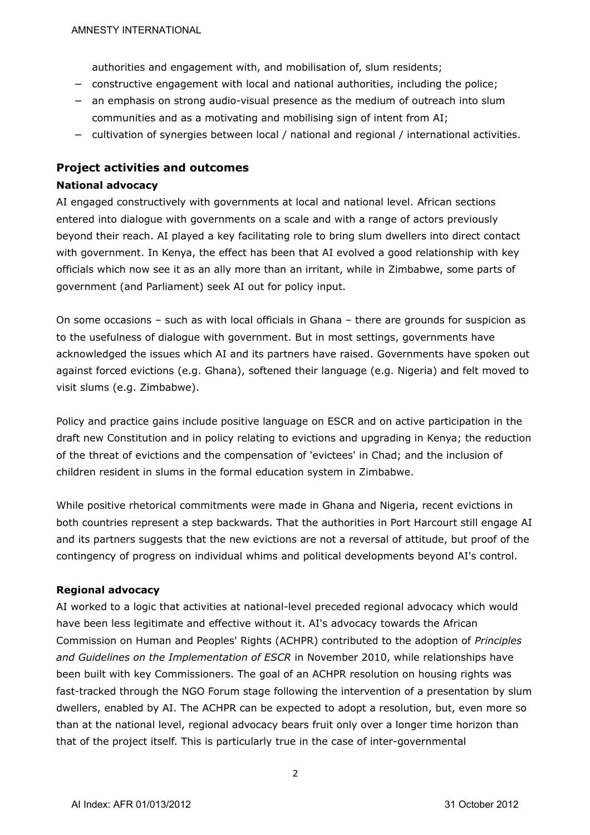authorities and engagement with, and mobilisation of, slum residents;

- − constructive engagement with local and national authorities, including the police;
- − an emphasis on strong audio-visual presence as the medium of outreach into slum communities and as a motivating and mobilising sign of intent from AI;
- − cultivation of synergies between local / national and regional / international activities.

# **Project activities and outcomes**

## **National advocacy**

AI engaged constructively with governments at local and national level. African sections entered into dialogue with governments on a scale and with a range of actors previously beyond their reach. AI played a key facilitating role to bring slum dwellers into direct contact with government. In Kenya, the effect has been that AI evolved a good relationship with key officials which now see it as an ally more than an irritant, while in Zimbabwe, some parts of government (and Parliament) seek AI out for policy input.

On some occasions – such as with local officials in Ghana – there are grounds for suspicion as to the usefulness of dialogue with government. But in most settings, governments have acknowledged the issues which AI and its partners have raised. Governments have spoken out against forced evictions (e.g. Ghana), softened their language (e.g. Nigeria) and felt moved to visit slums (e.g. Zimbabwe).

Policy and practice gains include positive language on ESCR and on active participation in the draft new Constitution and in policy relating to evictions and upgrading in Kenya; the reduction of the threat of evictions and the compensation of 'evictees' in Chad; and the inclusion of children resident in slums in the formal education system in Zimbabwe.

While positive rhetorical commitments were made in Ghana and Nigeria, recent evictions in both countries represent a step backwards. That the authorities in Port Harcourt still engage AI and its partners suggests that the new evictions are not a reversal of attitude, but proof of the contingency of progress on individual whims and political developments beyond AI's control.

# **Regional advocacy**

AI worked to a logic that activities at national-level preceded regional advocacy which would have been less legitimate and effective without it. AI's advocacy towards the African Commission on Human and Peoples' Rights (ACHPR) contributed to the adoption of *Principles and Guidelines on the Implementation of ESCR* in November 2010, while relationships have been built with key Commissioners. The goal of an ACHPR resolution on housing rights was fast-tracked through the NGO Forum stage following the intervention of a presentation by slum dwellers, enabled by AI. The ACHPR can be expected to adopt a resolution, but, even more so than at the national level, regional advocacy bears fruit only over a longer time horizon than that of the project itself. This is particularly true in the case of inter-governmental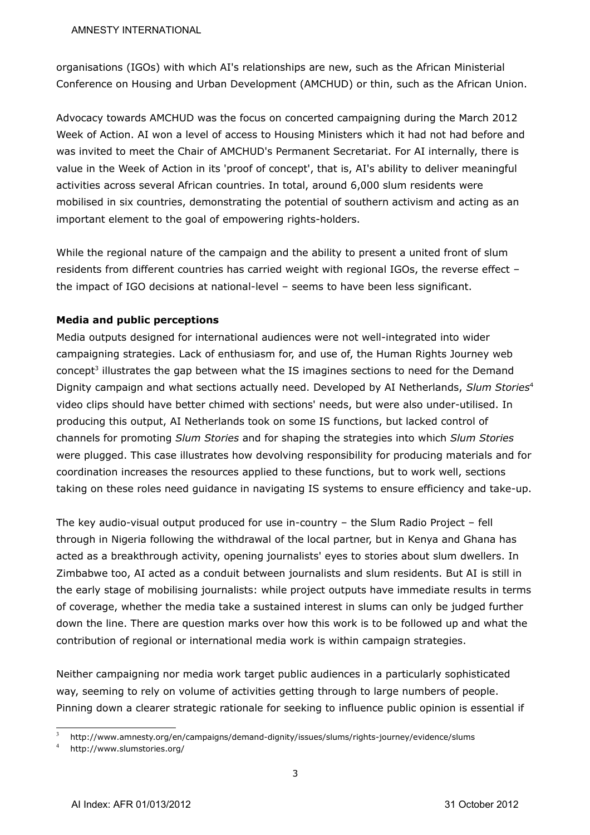organisations (IGOs) with which AI's relationships are new, such as the African Ministerial Conference on Housing and Urban Development (AMCHUD) or thin, such as the African Union.

Advocacy towards AMCHUD was the focus on concerted campaigning during the March 2012 Week of Action. AI won a level of access to Housing Ministers which it had not had before and was invited to meet the Chair of AMCHUD's Permanent Secretariat. For AI internally, there is value in the Week of Action in its 'proof of concept', that is, AI's ability to deliver meaningful activities across several African countries. In total, around 6,000 slum residents were mobilised in six countries, demonstrating the potential of southern activism and acting as an important element to the goal of empowering rights-holders.

While the regional nature of the campaign and the ability to present a united front of slum residents from different countries has carried weight with regional IGOs, the reverse effect – the impact of IGO decisions at national-level – seems to have been less significant.

## **Media and public perceptions**

Media outputs designed for international audiences were not well-integrated into wider campaigning strategies. Lack of enthusiasm for, and use of, the Human Rights Journey web concept<sup>[3](#page-2-0)</sup> illustrates the gap between what the IS imagines sections to need for the Demand Dignity campaign and what sections actually need. Developed by AI Netherlands, *Slum Stories*[4](#page-2-1)  video clips should have better chimed with sections' needs, but were also under-utilised. In producing this output, AI Netherlands took on some IS functions, but lacked control of channels for promoting *Slum Stories* and for shaping the strategies into which *Slum Stories*  were plugged. This case illustrates how devolving responsibility for producing materials and for coordination increases the resources applied to these functions, but to work well, sections taking on these roles need guidance in navigating IS systems to ensure efficiency and take-up.

The key audio-visual output produced for use in-country – the Slum Radio Project – fell through in Nigeria following the withdrawal of the local partner, but in Kenya and Ghana has acted as a breakthrough activity, opening journalists' eyes to stories about slum dwellers. In Zimbabwe too, AI acted as a conduit between journalists and slum residents. But AI is still in the early stage of mobilising journalists: while project outputs have immediate results in terms of coverage, whether the media take a sustained interest in slums can only be judged further down the line. There are question marks over how this work is to be followed up and what the contribution of regional or international media work is within campaign strategies.

Neither campaigning nor media work target public audiences in a particularly sophisticated way, seeming to rely on volume of activities getting through to large numbers of people. Pinning down a clearer strategic rationale for seeking to influence public opinion is essential if

<span id="page-2-0"></span>3 http://www.amnesty.org/en/campaigns/demand-dignity/issues/slums/rights-journey/evidence/slums

<span id="page-2-1"></span>4 http://www.slumstories.org/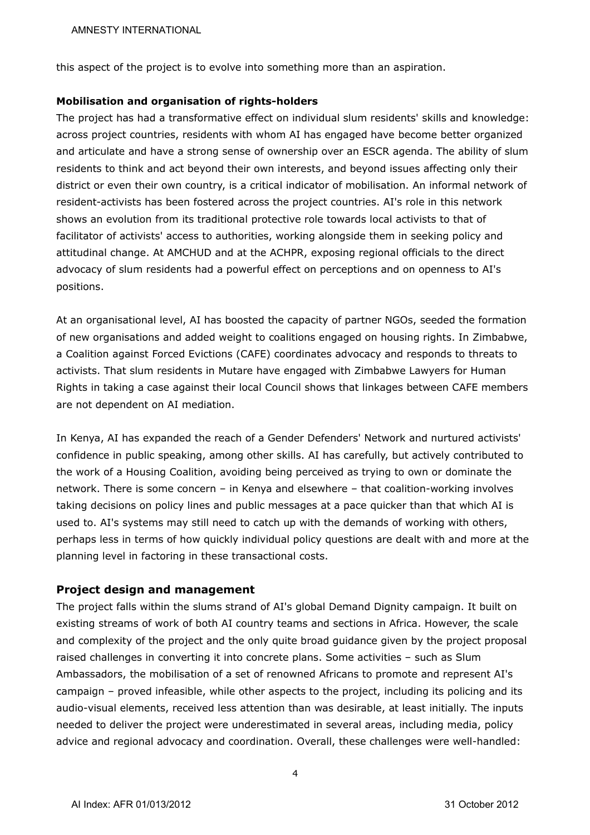this aspect of the project is to evolve into something more than an aspiration.

#### **Mobilisation and organisation of rights-holders**

The project has had a transformative effect on individual slum residents' skills and knowledge: across project countries, residents with whom AI has engaged have become better organized and articulate and have a strong sense of ownership over an ESCR agenda. The ability of slum residents to think and act beyond their own interests, and beyond issues affecting only their district or even their own country, is a critical indicator of mobilisation. An informal network of resident-activists has been fostered across the project countries. AI's role in this network shows an evolution from its traditional protective role towards local activists to that of facilitator of activists' access to authorities, working alongside them in seeking policy and attitudinal change. At AMCHUD and at the ACHPR, exposing regional officials to the direct advocacy of slum residents had a powerful effect on perceptions and on openness to AI's positions.

At an organisational level, AI has boosted the capacity of partner NGOs, seeded the formation of new organisations and added weight to coalitions engaged on housing rights. In Zimbabwe, a Coalition against Forced Evictions (CAFE) coordinates advocacy and responds to threats to activists. That slum residents in Mutare have engaged with Zimbabwe Lawyers for Human Rights in taking a case against their local Council shows that linkages between CAFE members are not dependent on AI mediation.

In Kenya, AI has expanded the reach of a Gender Defenders' Network and nurtured activists' confidence in public speaking, among other skills. AI has carefully, but actively contributed to the work of a Housing Coalition, avoiding being perceived as trying to own or dominate the network. There is some concern – in Kenya and elsewhere – that coalition-working involves taking decisions on policy lines and public messages at a pace quicker than that which AI is used to. AI's systems may still need to catch up with the demands of working with others, perhaps less in terms of how quickly individual policy questions are dealt with and more at the planning level in factoring in these transactional costs.

#### **Project design and management**

The project falls within the slums strand of AI's global Demand Dignity campaign. It built on existing streams of work of both AI country teams and sections in Africa. However, the scale and complexity of the project and the only quite broad guidance given by the project proposal raised challenges in converting it into concrete plans. Some activities – such as Slum Ambassadors, the mobilisation of a set of renowned Africans to promote and represent AI's campaign – proved infeasible, while other aspects to the project, including its policing and its audio-visual elements, received less attention than was desirable, at least initially. The inputs needed to deliver the project were underestimated in several areas, including media, policy advice and regional advocacy and coordination. Overall, these challenges were well-handled: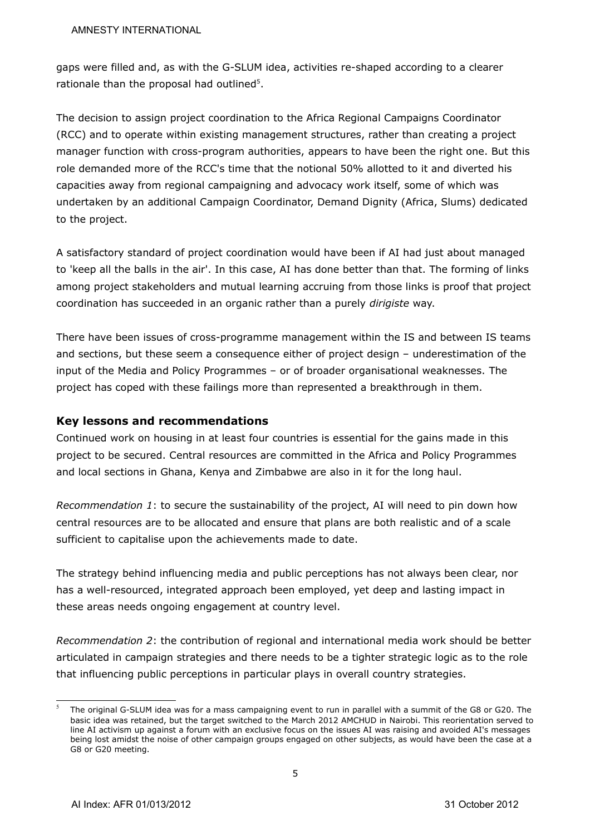gaps were filled and, as with the G-SLUM idea, activities re-shaped according to a clearer rationale than the proposal had outlined $5$ .

The decision to assign project coordination to the Africa Regional Campaigns Coordinator (RCC) and to operate within existing management structures, rather than creating a project manager function with cross-program authorities, appears to have been the right one. But this role demanded more of the RCC's time that the notional 50% allotted to it and diverted his capacities away from regional campaigning and advocacy work itself, some of which was undertaken by an additional Campaign Coordinator, Demand Dignity (Africa, Slums) dedicated to the project.

A satisfactory standard of project coordination would have been if AI had just about managed to 'keep all the balls in the air'. In this case, AI has done better than that. The forming of links among project stakeholders and mutual learning accruing from those links is proof that project coordination has succeeded in an organic rather than a purely *dirigiste* way.

There have been issues of cross-programme management within the IS and between IS teams and sections, but these seem a consequence either of project design – underestimation of the input of the Media and Policy Programmes – or of broader organisational weaknesses. The project has coped with these failings more than represented a breakthrough in them.

# **Key lessons and recommendations**

Continued work on housing in at least four countries is essential for the gains made in this project to be secured. Central resources are committed in the Africa and Policy Programmes and local sections in Ghana, Kenya and Zimbabwe are also in it for the long haul.

*Recommendation 1*: to secure the sustainability of the project, AI will need to pin down how central resources are to be allocated and ensure that plans are both realistic and of a scale sufficient to capitalise upon the achievements made to date.

The strategy behind influencing media and public perceptions has not always been clear, nor has a well-resourced, integrated approach been employed, yet deep and lasting impact in these areas needs ongoing engagement at country level.

*Recommendation 2*: the contribution of regional and international media work should be better articulated in campaign strategies and there needs to be a tighter strategic logic as to the role that influencing public perceptions in particular plays in overall country strategies.

<span id="page-4-0"></span><sup>5</sup> The original G-SLUM idea was for a mass campaigning event to run in parallel with a summit of the G8 or G20. The basic idea was retained, but the target switched to the March 2012 AMCHUD in Nairobi. This reorientation served to line AI activism up against a forum with an exclusive focus on the issues AI was raising and avoided AI's messages being lost amidst the noise of other campaign groups engaged on other subjects, as would have been the case at a G8 or G20 meeting.